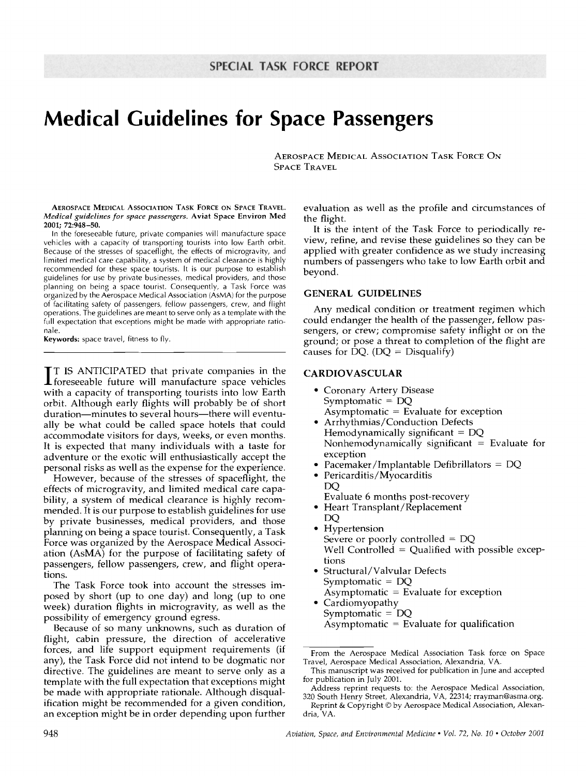# **Medical Guidelines for Space Passengers**

AEROSPACE MEDICAL ASSOCIATION TASK FORCE ON SPACE TRAVEL

**AEROSPACE** MEDICAL ASSOCIATION TASK FORCE ON SPACE TRAVEL. *Medical guidelines for space passengers.* **Aviat Space** Environ Med **2001;** 72:948-50.

In the foreseeable future, private companies will manufacture space vehicles with a capacity of transporting tourists into low Earth orbit. Because of the stresses of spaceflight, the effects of microgravity, and limited medical care capability, a system of medical clearance is highly recommended for these space tourists. It is our purpose to establish guidelines for use by private businesses, medical providers, and those planning on being a space tourist. Consequently, a Task Force was organized by the Aerospace Medical Association (AsMA) for the purpose of facilitating safety of passengers, fellow passengers, crew, and flight operations. The guidelines are meant to serve only as a template with the full expectation that exceptions might be made with appropriate rationale.

Keywords: space travel, fitness to fly.

**I** T IS ANTICIPATED that private companies in the .foreseeable future will manufacture space vehicles with a capacity of transporting tourists into low Earth orbit. Although early flights will probably be of short duration--minutes to several hours--there will eventually be what could be called space hotels that could accommodate visitors for days, weeks, or even months. It is expected that many individuals with a taste for adventure or the exotic will enthusiastically accept the personal risks as well as the expense for the experience.

However, because of the stresses of spaceflight, the effects of microgravity, and limited medical care capability, a system of medical clearance is highly recommended. It is our purpose to establish guidelines for use by private businesses, medical providers, and those planning on being a space tourist. Consequently, a Task Force was organized by the Aerospace Medical Association (AsMA) for the purpose of facilitating safety of passengers, fellow passengers, crew, and flight operations.

The Task Force took into account the stresses imposed by short (up to one day) and long (up to one week) duration flights in microgravity, as well as the possibility of emergency ground egress.

Because of so many unknowns, such as duration of flight, cabin pressure, the direction of accelerative forces, and life support equipment requirements (if any), the Task Force did not intend to be dogmatic nor directive. The guidelines are meant to serve only as a template with the full expectation that exceptions might be made with appropriate rationale. Although disqualification might be recommended for a given condition, an exception might be in order depending upon further

evaluation as well as the profile and circumstances of the flight.

It is the intent of the Task Force to periodically review, refine, and revise these guidelines so they can be applied with greater confidence as we study increasing numbers of passengers who take to low Earth orbit and beyond.

#### **GENERAL GUIDELINES**

Any medical condition or treatment regimen which could endanger the health of the passenger, fellow passengers, or crew; compromise safety inflight or on the ground; or pose a threat to completion of the flight are causes for DQ. ( $DQ =$  Disqualify)

#### **CARDIOVASCULAR**

- Coronary Artery Disease Symptomatic = DQ  $Asymptomatic = Evaluate for exception$
- Arrhythmias/Conduction Defects Hemodynamically significant  $= DQ$ Nonhemodynamically significant  $=$  Evaluate for exception
- Pacemaker/Implantable Defibrillators =  $DQ$
- Pericarditis/Myocarditis DQ Evaluate 6 months post-recovery
- 9 Heart Transplant/Replacement
	- DQ
- Hypertension Severe or poorly controlled = DQ Well Controlled  $=$  Qualified with possible exceptions
- 9 Structural/Valvular Defects Symptomatic  $= DQ$  $Asymptomatic = Evaluate for exception$
- Cardiomyopathy Symptomatic = DQ  $Asymptomatic = Evaluate for qualification$

From the Aerospace Medical Association Task force on Space Travel, Aerospace Medical Association, Alexandria, VA.

This manuscript was received for publication in June and accepted for publication in July 2001.

Address reprint requests to: the Aerospace Medical Association, 320 South Henry Street, Alexandria, VA, 22314; rrayman@asma.org.

Reprint & Copyright © by Aerospace Medical Association, Alexandria, VA.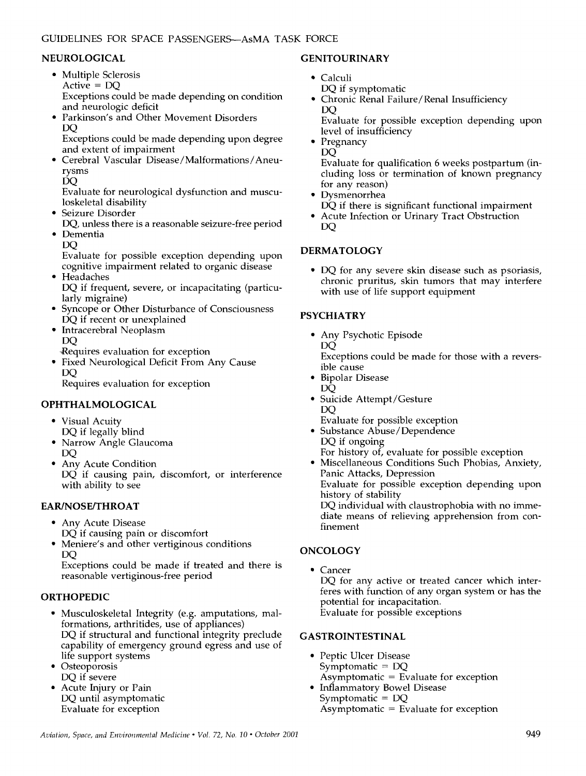## NEUROLOGICAL

- 9 Multiple Sclerosis Active = DQ Exceptions could be made depending on condition and neurologic deficit
- Parkinson's and Other Movement Disorders DQ

Exceptions could be made depending upon degree and extent of impairment

9 Cerebral Vascular Disease/Malformations/Aneurysms

DO

Evaluate for neurological dysfunction and musculoskeletal disability

- Seizure Disorder
- DQ, unless there is a reasonable seizure-free period • Dementia

DQ

- Evaluate for possible exception depending upon cognitive impairment related to organic disease
- **Headaches** DQ if frequent, severe, or incapacitating (particularly migraine)
- Syncope or Other Disturbance of Consciousness DQ if recent or unexplained
- 9 Intracerebral Neoplasm DQ
	- ~;Requires evaluation for exception
- 9 Fixed Neurological Deficit From Any Cause DQ

Requires evaluation for exception

## OPHTHALMOLOGICAL

- Visual Acuity DQ if legally blind
- Narrow Angle Glaucoma DQ
- Any Acute Condition DQ if causing pain, discomfort, or interference with ability to see

#### **EAR/NOSE/THROAT**

- 9 Any Acute Disease
- DQ if causing pain or discomfort Meniere's and other vertiginous conditions DQ

Exceptions could be made if treated and there is reasonable vertiginous-free period

## **ORTHOPEDIC**

- 9 Musculoskeletal Integrity (e.g. amputations, malformations, arthritides, use of appliances) DQ if structural and functional integrity preclude capability of emergency ground egress and use of life support systems
- Osteoporosis DQ if severe
- 9 Acute Injury or Pain DQ until asymptomatic Evaluate for exception

#### **GENITOURINARY**

- Calculi
	- DQ if symptomatic
	- 9 Chronic Renal Failure/Renal Insufficiency DQ

Evaluate for possible exception depending upon level of insufficiency

• Pregnancy

DQ

Evaluate for qualification 6 weeks postpartum (including loss or termination of known pregnancy for any reason)

- **Dysmenorrhea** DQ if there is significant functional impairment
- Acute Infection or Urinary Tract Obstruction DQ

## **DERMATOLOGY**

9 DQ for any severe skin disease such as psoriasis, chronic pruritus, skin tumors that may interfere with use of life support equipment

#### **PSYCHIATRY**

9 Any Psychotic Episode DO<sub>.</sub>

Exceptions could be made for those with a reversible cause

- 9 Bipolar Disease DQ
- Suicide Attempt/Gesture DQ
- Evaluate for possible exception
- Substance Abuse/Dependence DQ if ongoing For history of, evaluate for possible exception
- Miscellaneous Conditions Such Phobias, Anxiety, Panic Attacks, Depression Evaluate for possible exception depending upon history of stability

DQ individual with claustrophobia with no immediate means of relieving apprehension from confinement

## **ONCOLOGY**

• Cancer DQ for any active or treated cancer which interferes with function of any organ system or has the potential for incapacitation. Evaluate for possible exceptions

## **GASTROINTESTINAL**

- 9 Peptic Ulcer Disease Symptomatic  $=$  DQ  $Asymptomatic = Evaluate for exception$
- 9 Inflammatory Bowel Disease Symptomatic = DQ  $Asymptomatic = Evaluate for exception$